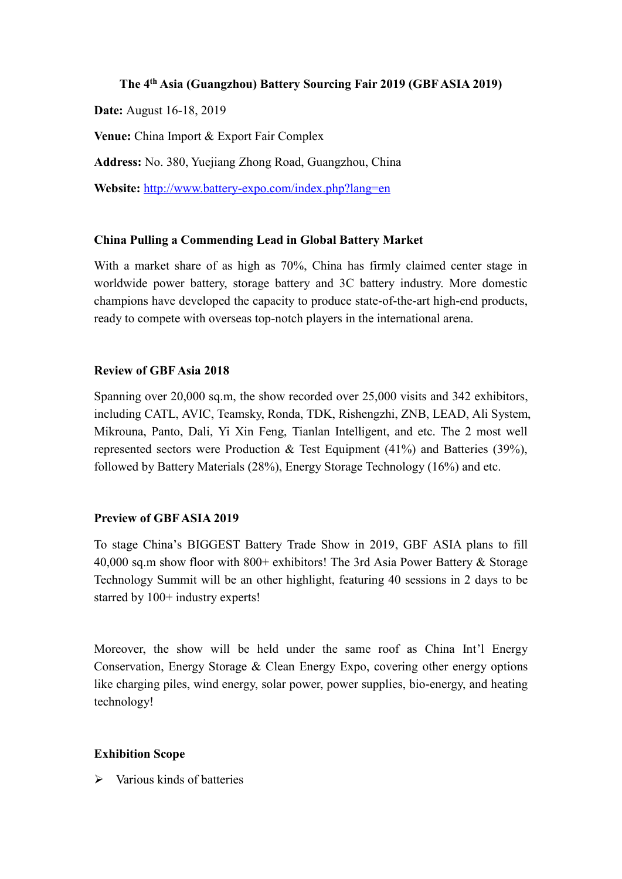# **The 4th Asia (Guangzhou) Battery Sourcing Fair 2019 (GBF ASIA 2019)**

**Date:** August 16-18, 2019

**Venue:** China Import & Export Fair Complex

**Address:** No. 380, Yuejiang Zhong Road, Guangzhou, China

Website: <http://www.battery-expo.com/index.php?lang=en>

### **China Pulling a Commending Lead in Global Battery Market**

With a market share of as high as 70%, China has firmly claimed center stage in worldwide power battery, storage battery and 3C battery industry. More domestic champions have developed the capacity to produce state-of-the-art high-end products, ready to compete with overseas top-notch players in the international arena.

### **Review of GBF Asia 2018**

Spanning over 20,000 sq.m, the show recorded over 25,000 visits and 342 exhibitors, including CATL, AVIC, Teamsky, Ronda, TDK, Rishengzhi, ZNB, LEAD, Ali System, Mikrouna, Panto, Dali, Yi Xin Feng, Tianlan Intelligent, and etc. The 2 most well represented sectors were Production & Test Equipment (41%) and Batteries (39%), followed by Battery Materials (28%), Energy Storage Technology (16%) and etc.

## **Preview of GBF ASIA 2019**

To stage China's BIGGEST Battery Trade Show in 2019, GBF ASIA plans to fill 40,000 sq.m show floor with 800+ exhibitors! The 3rd Asia Power Battery & Storage Technology Summit will be an other highlight, featuring 40 sessions in 2 days to be starred by 100+ industry experts!

Moreover, the show will be held under the same roof as China Int'l Energy Conservation, Energy Storage & Clean Energy Expo, covering other energy options like charging piles, wind energy, solar power, power supplies, bio-energy, and heating technology!

## **Exhibition Scope**

 $\triangleright$  Various kinds of batteries